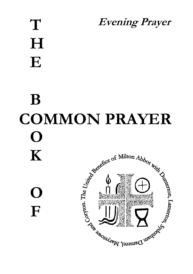# **T H E B Evening Prayer**

**COMMON PRAYER O** Assembly of Milton Abbors Milton Abbors Milton Abbors Milton Abbors Milton **K O F**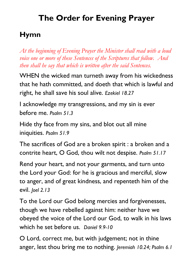## **The Order for Evening Prayer**

## **Hymn**

*At the beginning of Evening Prayer the Minister shall read with a loud voice one or more of these Sentences of the Scriptures that follow. And then shall he say that which is written after the said Sentences.*

WHEN the wicked man turneth away from his wickedness that he hath committed, and doeth that which is lawful and right, he shall save his soul alive. *Ezekiel 18.27*

I acknowledge my transgressions, and my sin is ever before me. *Psalm 51.3*

Hide thy face from my sins, and blot out all mine iniquities. *Psalm 51.9*

The sacrifices of God are a broken spirit : a broken and a contrite heart, O God, thou wilt not despise. *Psalm 51.17*

Rend your heart, and not your garments, and turn unto the Lord your God: for he is gracious and merciful, slow to anger, and of great kindness, and repenteth him of the evil. *Joel 2.13*

To the Lord our God belong mercies and forgivenesses, though we have rebelled against him: neither have we obeyed the voice of the Lord our God, to walk in his laws which he set before us. *Daniel 9.9-10*

O Lord, correct me, but with judgement; not in thine anger, lest thou bring me to nothing. *Jeremiah 10.24; Psalm 6.1*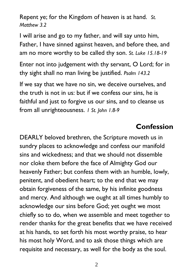Repent ye; for the Kingdom of heaven is at hand. *St. Matthew 3.2*

I will arise and go to my father, and will say unto him, Father, I have sinned against heaven, and before thee, and am no more worthy to be called thy son. *St. Luke 15.18-19*

Enter not into judgement with thy servant, O Lord; for in thy sight shall no man living be justified. *Psalm 143.2*

If we say that we have no sin, we deceive ourselves, and the truth is not in us: but if we confess our sins, he is faithful and just to forgive us our sins, and to cleanse us from all unrighteousness. *1 St. John 1.8-9*

#### **Confession**

DEARLY beloved brethren, the Scripture moveth us in sundry places to acknowledge and confess our manifold sins and wickedness; and that we should not dissemble nor cloke them before the face of Almighty God our heavenly Father; but confess them with an humble, lowly, penitent, and obedient heart; to the end that we may obtain forgiveness of the same, by his infinite goodness and mercy. And although we ought at all times humbly to acknowledge our sins before God; yet ought we most chiefly so to do, when we assemble and meet together to render thanks for the great benefits that we have received at his hands, to set forth his most worthy praise, to hear his most holy Word, and to ask those things which are requisite and necessary, as well for the body as the soul.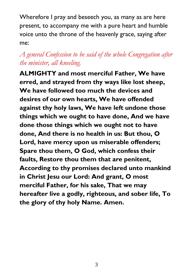Wherefore I pray and beseech you, as many as are here present, to accompany me with a pure heart and humble voice unto the throne of the heavenly grace, saying after me:

#### *A general Confession to be said of the whole Congregation after the minister, all kneeling.*

**ALMIGHTY and most merciful Father, We have erred, and strayed from thy ways like lost sheep, We have followed too much the devices and desires of our own hearts, We have offended against thy holy laws, We have left undone those things which we ought to have done, And we have done those things which we ought not to have done, And there is no health in us: But thou, O Lord, have mercy upon us miserable offenders; Spare thou them, O God, which confess their faults, Restore thou them that are penitent, According to thy promises declared unto mankind in Christ Jesu our Lord: And grant, O most merciful Father, for his sake, That we may hereafter live a godly, righteous, and sober life, To the glory of thy holy Name. Amen.**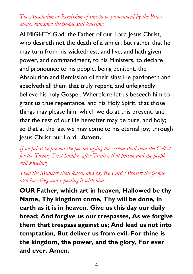#### *The Absolution or Remission of sins to be pronounced by the Priest alone, standing: the people still kneeling.*

ALMIGHTY God, the Father of our Lord Jesus Christ, who desireth not the death of a sinner, but rather that he may turn from his wickedness, and live; and hath given power, and commandment, to his Ministers, to declare and pronounce to his people, being penitent, the Absolution and Remission of their sins: He pardoneth and absolveth all them that truly repent, and unfeignedly believe his holy Gospel. Wherefore let us beseech him to grant us true repentance, and his Holy Spirit, that those things may please him, which we do at this present; and that the rest of our life hereafter may be pure, and holy; so that at the last we may come to his eternal joy; through Jesus Christ our Lord. **Amen.**

*If no priest be present the person saying the service shall read the Collect for the Twenty-First Sunday after Trinity, that person and the people still kneeling.*

*Then the Minister shall kneel, and say the Lord's Prayer: the people also kneeling, and repeating it with him.*

**OUR Father, which art in heaven, Hallowed be thy Name, Thy kingdom come, Thy will be done, in earth as it is in heaven. Give us this day our daily bread; And forgive us our trespasses, As we forgive them that trespass against us; And lead us not into temptation, But deliver us from evil. For thine is the kingdom, the power, and the glory, For ever and ever. Amen.**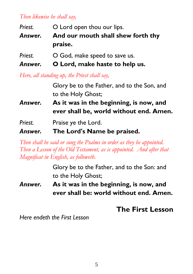#### *Then likewise he shall say,*

| Priest. | O Lord open thou our lips.         |
|---------|------------------------------------|
| Answer. | And our mouth shall shew forth thy |
|         | praise.                            |
| Priest. | O God, make speed to save us.      |

*Answer.* **O Lord, make haste to help us.**

*Here, all standing up, the Priest shall say,*

Glory be to the Father, and to the Son, and to the Holy Ghost;

*Answer.* **As it was in the beginning, is now, and ever shall be, world without end. Amen.**

*Priest.* Praise ye the Lord.

*Answer.* **The Lord's Name be praised.** 

*Then shall be said or sung the Psalms in order as they be appointed. Then a Lesson of the Old Testament, as is appointed. And after that Magnificat in English, as followeth.*

> Glory be to the Father, and to the Son: and to the Holy Ghost;

*Answer.* **As it was in the beginning, is now, and ever shall be: world without end. Amen.**

#### **The First Lesson**

*Here endeth the First Lesson*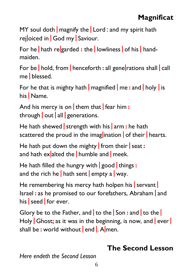## **Magnificat**

MY soul doth  $\frac{1}{2}$  magnify the  $\frac{1}{2}$  Lord : and my spirit hath rejoiced in God my Saviour.

For he | hath re|garded **:** the | lowliness | of his | handmaiden.

For be | hold, from | henceforth **:** all gene|rations shall | call me | blessed.

For he that is mighty hath | magnified | me **:** and | holy | is his | Name.

And his mercy is on | them that | fear him **:** through  $\vert$  out  $\vert$  all  $\vert$  generations.

He hath shewed | strength with his | arm **:** he hath scattered the proud in the imaglination of their hearts.

He hath put down the mighty | from their | seat **:** and hath ex alted the | humble and | meek.

He hath filled the hungry with | good | things **:** and the rich he | hath sent | empty a | way.

He remembering his mercy hath holpen his servant Israel **:** as he promised to our forefathers, Abraham | and his seed for ever.

Glory be to the Father, and | to the | Son **:** and | to the | Holy Ghost; as it was in the beginning, is now, and ever shall be **:** world without | end |. A|men.

#### **The Second Lesson**

*Here endeth the Second Lesson*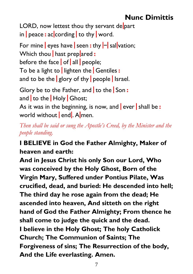## **Nunc Dimittis**

LORD, now lettest thou thy servant depart in | peace **:** ac|cording | to thy | word.

For mine | eyes have | seen **:** thy |-| sal|vation; Which thou | hast prep|ared **:** before the face  $\vert$  of  $\vert$  all  $\vert$  people; To be a light to | lighten the | Gentiles **:** and to be the <u>| glory</u> of thy | people | Israel. Glory be to the Father, and | to the | Son **:** and to the Holy Ghost;

As it was in the beginning, is now, and ever shall be: world without end. Almen.

*Then shall be said or sung the Apostle's Creed, by the Minister and the people standing.*

#### **I BELIEVE in God the Father Almighty, Maker of heaven and earth:**

**And in Jesus Christ his only Son our Lord, Who was conceived by the Holy Ghost, Born of the Virgin Mary, Suffered under Pontius Pilate, Was crucified, dead, and buried: He descended into hell; The third day he rose again from the dead; He ascended into heaven, And sitteth on the right hand of God the Father Almighty; From thence he shall come to judge the quick and the dead. I believe in the Holy Ghost; The holy Catholick Church; The Communion of Saints; The Forgiveness of sins; The Resurrection of the body, And the Life everlasting. Amen.**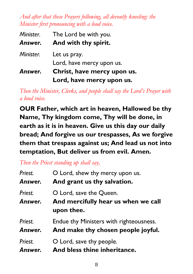*And after that these Prayers following, all devoutly kneeling: the Minister first pronouncing with a loud voice.*

| Minister. | The Lord be with you.       |
|-----------|-----------------------------|
| Answer.   | And with thy spirit.        |
| Minister. | Let us pray.                |
|           | Lord, have mercy upon us.   |
| Answer.   | Christ, have mercy upon us. |
|           | Lord, have mercy upon us.   |

*Then the Minister, Clerks, and people shall say the Lord's Prayer with a loud voice.*

**OUR Father, which art in heaven, Hallowed be thy Name, Thy kingdom come, Thy will be done, in earth as it is in heaven. Give us this day our daily bread; And forgive us our trespasses, As we forgive them that trespass against us; And lead us not into temptation, But deliver us from evil. Amen.**

*Then the Priest standing up shall say,*

| Priest.            | O Lord, shew thy mercy upon us.                                              |
|--------------------|------------------------------------------------------------------------------|
| Answer.            | And grant us thy salvation.                                                  |
| Priest.<br>Answer. | O Lord, save the Queen.<br>And mercifully hear us when we call<br>upon thee. |
| Priest.            | Endue thy Ministers with righteousness.                                      |
| Answer.            | And make thy chosen people joyful.                                           |
| Priest.            | O Lord, save thy people.                                                     |
| Answer.            | And bless thine inheritance.                                                 |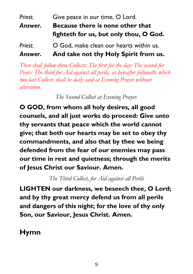## Priest. **Give peace in our time, O Lord.** *Answer.* **Because there is none other that fighteth for us, but only thou, O God.** *Priest.* O God, make clean our hearts within us.

#### *Answer.* **And take not thy Holy Spirit from us.**

*Then shall follow three Collects: The first for the day: The second for Peace: The third for Aid against all perils, as hereafter followeth: which two last Collects shall be daily said at Evening Prayer without alteration.*

*The Second Collect at Evening Prayer.*

**O GOD, from whom all holy desires, all good counsels, and all just works do proceed: Give unto thy servants that peace which the world cannot give; that both our hearts may be set to obey thy commandments, and also that by thee we being defended from the fear of our enemies may pass our time in rest and quietness; through the merits of Jesus Christ our Saviour. Amen.** 

*The Third Collect, for Aid against all Perils*

**LIGHTEN our darkness, we beseech thee, O Lord; and by thy great mercy defend us from all perils and dangers of this night; for the love of thy only Son, our Saviour, Jesus Christ. Amen.** 

**Hymn**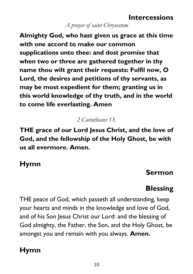## **Intercessions**

#### *A prayer of saint Chrysostom*

**Almighty God, who hast given us grace at this time with one accord to make our common supplications unto thee: and dost promise that when two or three are gathered together in thy name thou wilt grant their requests: Fulfil now, O Lord, the desires and petitions of thy servants, as may be most expedient for them; granting us in this world knowledge of thy truth, and in the world to come life everlasting. Amen**

#### *2 Corinthians 13.*

**THE grace of our Lord Jesus Christ, and the love of God, and the fellowship of the Holy Ghost, be with us all evermore. Amen.**

#### **Hymn**

#### **Sermon**

## **Blessing**

THE peace of God, which passeth all understanding, keep your hearts and minds in the knowledge and love of God, and of his Son Jesus Christ our Lord: and the blessing of God almighty, the Father, the Son, and the Holy Ghost, be amongst you and remain with you always. **Amen.**

## **Hymn**